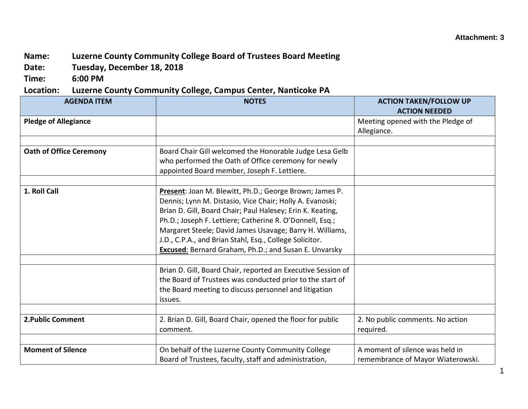## **Name: Luzerne County Community College Board of Trustees Board Meeting**

**Date: Tuesday, December 18, 2018**

**Time: 6:00 PM**

## **Location: Luzerne County Community College, Campus Center, Nanticoke PA**

| <b>AGENDA ITEM</b>             | <b>NOTES</b>                                                                                                                                                                                                                                                                                                                                                                                                                  | <b>ACTION TAKEN/FOLLOW UP</b><br><b>ACTION NEEDED</b>                |
|--------------------------------|-------------------------------------------------------------------------------------------------------------------------------------------------------------------------------------------------------------------------------------------------------------------------------------------------------------------------------------------------------------------------------------------------------------------------------|----------------------------------------------------------------------|
| <b>Pledge of Allegiance</b>    |                                                                                                                                                                                                                                                                                                                                                                                                                               | Meeting opened with the Pledge of<br>Allegiance.                     |
|                                |                                                                                                                                                                                                                                                                                                                                                                                                                               |                                                                      |
| <b>Oath of Office Ceremony</b> | Board Chair Gill welcomed the Honorable Judge Lesa Gelb<br>who performed the Oath of Office ceremony for newly<br>appointed Board member, Joseph F. Lettiere.                                                                                                                                                                                                                                                                 |                                                                      |
| 1. Roll Call                   | Present: Joan M. Blewitt, Ph.D.; George Brown; James P.<br>Dennis; Lynn M. Distasio, Vice Chair; Holly A. Evanoski;<br>Brian D. Gill, Board Chair; Paul Halesey; Erin K. Keating,<br>Ph.D.; Joseph F. Lettiere; Catherine R. O'Donnell, Esq.;<br>Margaret Steele; David James Usavage; Barry H. Williams,<br>J.D., C.P.A., and Brian Stahl, Esq., College Solicitor.<br>Excused: Bernard Graham, Ph.D.; and Susan E. Unvarsky |                                                                      |
|                                | Brian D. Gill, Board Chair, reported an Executive Session of<br>the Board of Trustees was conducted prior to the start of<br>the Board meeting to discuss personnel and litigation<br>issues.                                                                                                                                                                                                                                 |                                                                      |
| 2. Public Comment              | 2. Brian D. Gill, Board Chair, opened the floor for public<br>comment.                                                                                                                                                                                                                                                                                                                                                        | 2. No public comments. No action<br>required.                        |
|                                |                                                                                                                                                                                                                                                                                                                                                                                                                               |                                                                      |
| <b>Moment of Silence</b>       | On behalf of the Luzerne County Community College<br>Board of Trustees, faculty, staff and administration,                                                                                                                                                                                                                                                                                                                    | A moment of silence was held in<br>remembrance of Mayor Wiaterowski. |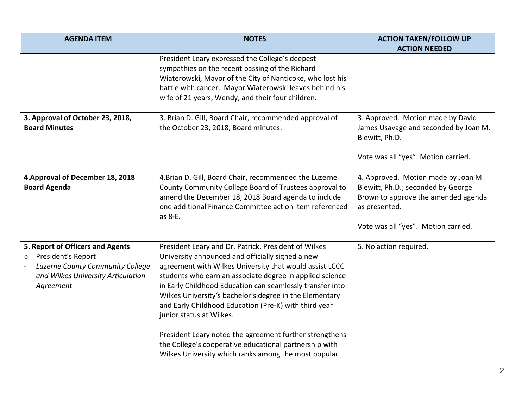| <b>AGENDA ITEM</b>                                                                                                                                       | <b>NOTES</b>                                                                                                                                                                                                                                                                                                                                                                                                                                                                                                                                                                                                              | <b>ACTION TAKEN/FOLLOW UP</b><br><b>ACTION NEEDED</b>                                                                                                                    |
|----------------------------------------------------------------------------------------------------------------------------------------------------------|---------------------------------------------------------------------------------------------------------------------------------------------------------------------------------------------------------------------------------------------------------------------------------------------------------------------------------------------------------------------------------------------------------------------------------------------------------------------------------------------------------------------------------------------------------------------------------------------------------------------------|--------------------------------------------------------------------------------------------------------------------------------------------------------------------------|
|                                                                                                                                                          | President Leary expressed the College's deepest<br>sympathies on the recent passing of the Richard<br>Wiaterowski, Mayor of the City of Nanticoke, who lost his<br>battle with cancer. Mayor Wiaterowski leaves behind his<br>wife of 21 years, Wendy, and their four children.                                                                                                                                                                                                                                                                                                                                           |                                                                                                                                                                          |
| 3. Approval of October 23, 2018,<br><b>Board Minutes</b>                                                                                                 | 3. Brian D. Gill, Board Chair, recommended approval of<br>the October 23, 2018, Board minutes.                                                                                                                                                                                                                                                                                                                                                                                                                                                                                                                            | 3. Approved. Motion made by David<br>James Usavage and seconded by Joan M.<br>Blewitt, Ph.D.<br>Vote was all "yes". Motion carried.                                      |
| 4. Approval of December 18, 2018<br><b>Board Agenda</b>                                                                                                  | 4. Brian D. Gill, Board Chair, recommended the Luzerne<br>County Community College Board of Trustees approval to<br>amend the December 18, 2018 Board agenda to include<br>one additional Finance Committee action item referenced<br>as 8-E.                                                                                                                                                                                                                                                                                                                                                                             | 4. Approved. Motion made by Joan M.<br>Blewitt, Ph.D.; seconded by George<br>Brown to approve the amended agenda<br>as presented.<br>Vote was all "yes". Motion carried. |
| 5. Report of Officers and Agents<br>President's Report<br>$\circ$<br>Luzerne County Community College<br>and Wilkes University Articulation<br>Agreement | President Leary and Dr. Patrick, President of Wilkes<br>University announced and officially signed a new<br>agreement with Wilkes University that would assist LCCC<br>students who earn an associate degree in applied science<br>in Early Childhood Education can seamlessly transfer into<br>Wilkes University's bachelor's degree in the Elementary<br>and Early Childhood Education (Pre-K) with third year<br>junior status at Wilkes.<br>President Leary noted the agreement further strengthens<br>the College's cooperative educational partnership with<br>Wilkes University which ranks among the most popular | 5. No action required.                                                                                                                                                   |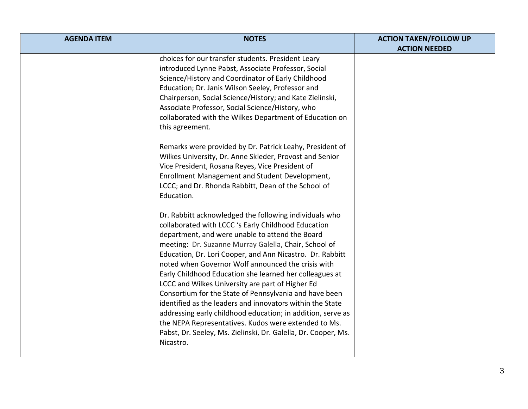| <b>AGENDA ITEM</b> | <b>NOTES</b>                                                                                                                                                                                                                                                                                                                                                                                                                                                                                                                                                                                                                                                                                                                                                                                                                                                                                                                                                                                                                                                                                                                                                                                                                                                                                                                                                                                                                                                                                                    | <b>ACTION TAKEN/FOLLOW UP</b> |
|--------------------|-----------------------------------------------------------------------------------------------------------------------------------------------------------------------------------------------------------------------------------------------------------------------------------------------------------------------------------------------------------------------------------------------------------------------------------------------------------------------------------------------------------------------------------------------------------------------------------------------------------------------------------------------------------------------------------------------------------------------------------------------------------------------------------------------------------------------------------------------------------------------------------------------------------------------------------------------------------------------------------------------------------------------------------------------------------------------------------------------------------------------------------------------------------------------------------------------------------------------------------------------------------------------------------------------------------------------------------------------------------------------------------------------------------------------------------------------------------------------------------------------------------------|-------------------------------|
|                    | choices for our transfer students. President Leary<br>introduced Lynne Pabst, Associate Professor, Social<br>Science/History and Coordinator of Early Childhood<br>Education; Dr. Janis Wilson Seeley, Professor and<br>Chairperson, Social Science/History; and Kate Zielinski,<br>Associate Professor, Social Science/History, who<br>collaborated with the Wilkes Department of Education on<br>this agreement.<br>Remarks were provided by Dr. Patrick Leahy, President of<br>Wilkes University, Dr. Anne Skleder, Provost and Senior<br>Vice President, Rosana Reyes, Vice President of<br>Enrollment Management and Student Development,<br>LCCC; and Dr. Rhonda Rabbitt, Dean of the School of<br>Education.<br>Dr. Rabbitt acknowledged the following individuals who<br>collaborated with LCCC 's Early Childhood Education<br>department, and were unable to attend the Board<br>meeting: Dr. Suzanne Murray Galella, Chair, School of<br>Education, Dr. Lori Cooper, and Ann Nicastro. Dr. Rabbitt<br>noted when Governor Wolf announced the crisis with<br>Early Childhood Education she learned her colleagues at<br>LCCC and Wilkes University are part of Higher Ed<br>Consortium for the State of Pennsylvania and have been<br>identified as the leaders and innovators within the State<br>addressing early childhood education; in addition, serve as<br>the NEPA Representatives. Kudos were extended to Ms.<br>Pabst, Dr. Seeley, Ms. Zielinski, Dr. Galella, Dr. Cooper, Ms.<br>Nicastro. | <b>ACTION NEEDED</b>          |
|                    |                                                                                                                                                                                                                                                                                                                                                                                                                                                                                                                                                                                                                                                                                                                                                                                                                                                                                                                                                                                                                                                                                                                                                                                                                                                                                                                                                                                                                                                                                                                 |                               |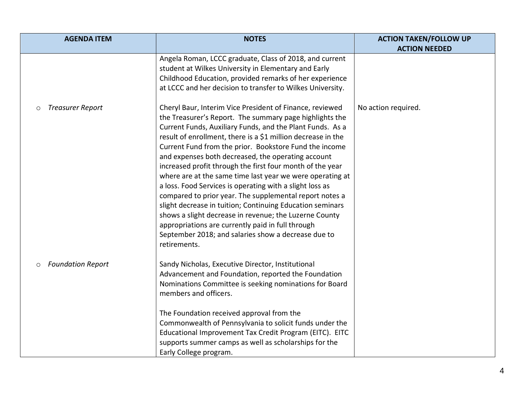| <b>AGENDA ITEM</b>       | <b>NOTES</b>                                                                                                                                                                                                                                                                                                                                                                                                                                                                                                                                                                                                                                                                                                                                                                                                                                                         | <b>ACTION TAKEN/FOLLOW UP</b><br><b>ACTION NEEDED</b> |
|--------------------------|----------------------------------------------------------------------------------------------------------------------------------------------------------------------------------------------------------------------------------------------------------------------------------------------------------------------------------------------------------------------------------------------------------------------------------------------------------------------------------------------------------------------------------------------------------------------------------------------------------------------------------------------------------------------------------------------------------------------------------------------------------------------------------------------------------------------------------------------------------------------|-------------------------------------------------------|
|                          | Angela Roman, LCCC graduate, Class of 2018, and current<br>student at Wilkes University in Elementary and Early<br>Childhood Education, provided remarks of her experience<br>at LCCC and her decision to transfer to Wilkes University.                                                                                                                                                                                                                                                                                                                                                                                                                                                                                                                                                                                                                             |                                                       |
| <b>Treasurer Report</b>  | Cheryl Baur, Interim Vice President of Finance, reviewed<br>the Treasurer's Report. The summary page highlights the<br>Current Funds, Auxiliary Funds, and the Plant Funds. As a<br>result of enrollment, there is a \$1 million decrease in the<br>Current Fund from the prior. Bookstore Fund the income<br>and expenses both decreased, the operating account<br>increased profit through the first four month of the year<br>where are at the same time last year we were operating at<br>a loss. Food Services is operating with a slight loss as<br>compared to prior year. The supplemental report notes a<br>slight decrease in tuition; Continuing Education seminars<br>shows a slight decrease in revenue; the Luzerne County<br>appropriations are currently paid in full through<br>September 2018; and salaries show a decrease due to<br>retirements. | No action required.                                   |
| <b>Foundation Report</b> | Sandy Nicholas, Executive Director, Institutional<br>Advancement and Foundation, reported the Foundation<br>Nominations Committee is seeking nominations for Board<br>members and officers.                                                                                                                                                                                                                                                                                                                                                                                                                                                                                                                                                                                                                                                                          |                                                       |
|                          | The Foundation received approval from the<br>Commonwealth of Pennsylvania to solicit funds under the<br>Educational Improvement Tax Credit Program (EITC). EITC<br>supports summer camps as well as scholarships for the<br>Early College program.                                                                                                                                                                                                                                                                                                                                                                                                                                                                                                                                                                                                                   |                                                       |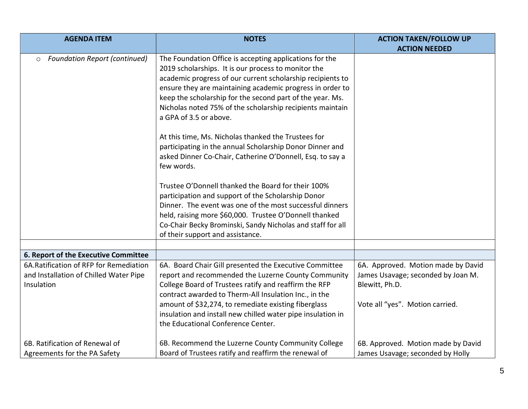| <b>AGENDA ITEM</b>                                                                              | <b>NOTES</b>                                                                                                                                                                                                                                                                                                                                                                                                                                                                                                                                                                                                                                                                                                                                                                                                                                                                                                                    | <b>ACTION TAKEN/FOLLOW UP</b>                                                              |
|-------------------------------------------------------------------------------------------------|---------------------------------------------------------------------------------------------------------------------------------------------------------------------------------------------------------------------------------------------------------------------------------------------------------------------------------------------------------------------------------------------------------------------------------------------------------------------------------------------------------------------------------------------------------------------------------------------------------------------------------------------------------------------------------------------------------------------------------------------------------------------------------------------------------------------------------------------------------------------------------------------------------------------------------|--------------------------------------------------------------------------------------------|
| <b>Foundation Report (continued)</b><br>$\circ$                                                 | The Foundation Office is accepting applications for the<br>2019 scholarships. It is our process to monitor the<br>academic progress of our current scholarship recipients to<br>ensure they are maintaining academic progress in order to<br>keep the scholarship for the second part of the year. Ms.<br>Nicholas noted 75% of the scholarship recipients maintain<br>a GPA of 3.5 or above.<br>At this time, Ms. Nicholas thanked the Trustees for<br>participating in the annual Scholarship Donor Dinner and<br>asked Dinner Co-Chair, Catherine O'Donnell, Esq. to say a<br>few words.<br>Trustee O'Donnell thanked the Board for their 100%<br>participation and support of the Scholarship Donor<br>Dinner. The event was one of the most successful dinners<br>held, raising more \$60,000. Trustee O'Donnell thanked<br>Co-Chair Becky Brominski, Sandy Nicholas and staff for all<br>of their support and assistance. | <b>ACTION NEEDED</b>                                                                       |
|                                                                                                 |                                                                                                                                                                                                                                                                                                                                                                                                                                                                                                                                                                                                                                                                                                                                                                                                                                                                                                                                 |                                                                                            |
| 6. Report of the Executive Committee                                                            |                                                                                                                                                                                                                                                                                                                                                                                                                                                                                                                                                                                                                                                                                                                                                                                                                                                                                                                                 |                                                                                            |
| 6A. Ratification of RFP for Remediation<br>and Installation of Chilled Water Pipe<br>Insulation | 6A. Board Chair Gill presented the Executive Committee<br>report and recommended the Luzerne County Community<br>College Board of Trustees ratify and reaffirm the RFP<br>contract awarded to Therm-All Insulation Inc., in the                                                                                                                                                                                                                                                                                                                                                                                                                                                                                                                                                                                                                                                                                                 | 6A. Approved. Motion made by David<br>James Usavage; seconded by Joan M.<br>Blewitt, Ph.D. |
| 6B. Ratification of Renewal of                                                                  | amount of \$32,274, to remediate existing fiberglass<br>insulation and install new chilled water pipe insulation in<br>the Educational Conference Center.<br>6B. Recommend the Luzerne County Community College                                                                                                                                                                                                                                                                                                                                                                                                                                                                                                                                                                                                                                                                                                                 | Vote all "yes". Motion carried.                                                            |
| Agreements for the PA Safety                                                                    | Board of Trustees ratify and reaffirm the renewal of                                                                                                                                                                                                                                                                                                                                                                                                                                                                                                                                                                                                                                                                                                                                                                                                                                                                            | 6B. Approved. Motion made by David<br>James Usavage; seconded by Holly                     |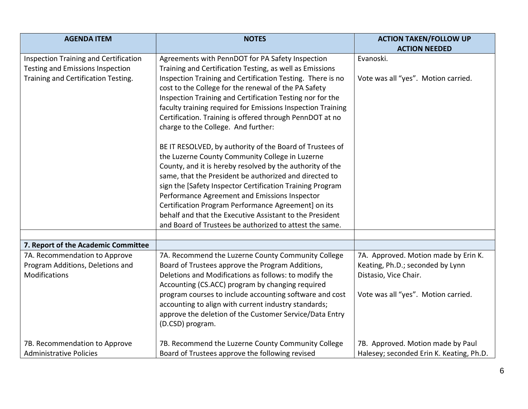| <b>AGENDA ITEM</b>                                                        | <b>NOTES</b>                                                                                                 | <b>ACTION TAKEN/FOLLOW UP</b><br><b>ACTION NEEDED</b> |
|---------------------------------------------------------------------------|--------------------------------------------------------------------------------------------------------------|-------------------------------------------------------|
|                                                                           |                                                                                                              | Evanoski.                                             |
| Inspection Training and Certification<br>Testing and Emissions Inspection | Agreements with PennDOT for PA Safety Inspection<br>Training and Certification Testing, as well as Emissions |                                                       |
| Training and Certification Testing.                                       | Inspection Training and Certification Testing. There is no                                                   | Vote was all "yes". Motion carried.                   |
|                                                                           | cost to the College for the renewal of the PA Safety                                                         |                                                       |
|                                                                           | Inspection Training and Certification Testing nor for the                                                    |                                                       |
|                                                                           | faculty training required for Emissions Inspection Training                                                  |                                                       |
|                                                                           | Certification. Training is offered through PennDOT at no                                                     |                                                       |
|                                                                           | charge to the College. And further:                                                                          |                                                       |
|                                                                           |                                                                                                              |                                                       |
|                                                                           | BE IT RESOLVED, by authority of the Board of Trustees of                                                     |                                                       |
|                                                                           | the Luzerne County Community College in Luzerne                                                              |                                                       |
|                                                                           | County, and it is hereby resolved by the authority of the                                                    |                                                       |
|                                                                           | same, that the President be authorized and directed to                                                       |                                                       |
|                                                                           | sign the [Safety Inspector Certification Training Program                                                    |                                                       |
|                                                                           | Performance Agreement and Emissions Inspector                                                                |                                                       |
|                                                                           | Certification Program Performance Agreement] on its                                                          |                                                       |
|                                                                           | behalf and that the Executive Assistant to the President                                                     |                                                       |
|                                                                           | and Board of Trustees be authorized to attest the same.                                                      |                                                       |
|                                                                           |                                                                                                              |                                                       |
| 7. Report of the Academic Committee                                       |                                                                                                              |                                                       |
| 7A. Recommendation to Approve                                             | 7A. Recommend the Luzerne County Community College                                                           | 7A. Approved. Motion made by Erin K.                  |
| Program Additions, Deletions and                                          | Board of Trustees approve the Program Additions,                                                             | Keating, Ph.D.; seconded by Lynn                      |
| <b>Modifications</b>                                                      | Deletions and Modifications as follows: to modify the                                                        | Distasio, Vice Chair.                                 |
|                                                                           | Accounting (CS.ACC) program by changing required                                                             |                                                       |
|                                                                           | program courses to include accounting software and cost                                                      | Vote was all "yes". Motion carried.                   |
|                                                                           | accounting to align with current industry standards;                                                         |                                                       |
|                                                                           | approve the deletion of the Customer Service/Data Entry                                                      |                                                       |
|                                                                           | (D.CSD) program.                                                                                             |                                                       |
| 7B. Recommendation to Approve                                             | 7B. Recommend the Luzerne County Community College                                                           | 7B. Approved. Motion made by Paul                     |
| <b>Administrative Policies</b>                                            | Board of Trustees approve the following revised                                                              | Halesey; seconded Erin K. Keating, Ph.D.              |
|                                                                           |                                                                                                              |                                                       |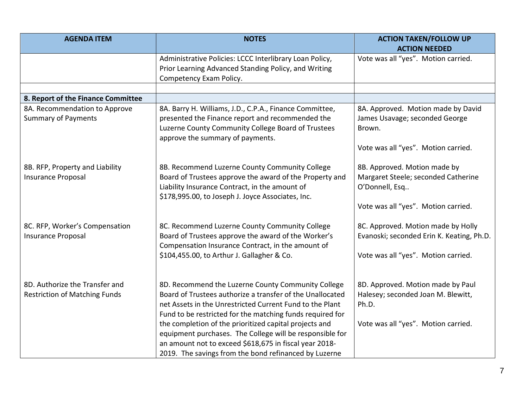| <b>AGENDA ITEM</b>                                                     | <b>NOTES</b>                                                                                                                                                                                                                                                                                                                                                                                                                                                                      | <b>ACTION TAKEN/FOLLOW UP</b><br><b>ACTION NEEDED</b>                                                                        |
|------------------------------------------------------------------------|-----------------------------------------------------------------------------------------------------------------------------------------------------------------------------------------------------------------------------------------------------------------------------------------------------------------------------------------------------------------------------------------------------------------------------------------------------------------------------------|------------------------------------------------------------------------------------------------------------------------------|
|                                                                        | Administrative Policies: LCCC Interlibrary Loan Policy,<br>Prior Learning Advanced Standing Policy, and Writing<br>Competency Exam Policy.                                                                                                                                                                                                                                                                                                                                        | Vote was all "yes". Motion carried.                                                                                          |
|                                                                        |                                                                                                                                                                                                                                                                                                                                                                                                                                                                                   |                                                                                                                              |
| 8. Report of the Finance Committee                                     |                                                                                                                                                                                                                                                                                                                                                                                                                                                                                   |                                                                                                                              |
| 8A. Recommendation to Approve<br><b>Summary of Payments</b>            | 8A. Barry H. Williams, J.D., C.P.A., Finance Committee,<br>presented the Finance report and recommended the<br>Luzerne County Community College Board of Trustees<br>approve the summary of payments.                                                                                                                                                                                                                                                                             | 8A. Approved. Motion made by David<br>James Usavage; seconded George<br>Brown.<br>Vote was all "yes". Motion carried.        |
| 8B. RFP, Property and Liability<br>Insurance Proposal                  | 8B. Recommend Luzerne County Community College<br>Board of Trustees approve the award of the Property and<br>Liability Insurance Contract, in the amount of<br>\$178,995.00, to Joseph J. Joyce Associates, Inc.                                                                                                                                                                                                                                                                  | 8B. Approved. Motion made by<br>Margaret Steele; seconded Catherine<br>O'Donnell, Esq<br>Vote was all "yes". Motion carried. |
| 8C. RFP, Worker's Compensation<br><b>Insurance Proposal</b>            | 8C. Recommend Luzerne County Community College<br>Board of Trustees approve the award of the Worker's<br>Compensation Insurance Contract, in the amount of<br>\$104,455.00, to Arthur J. Gallagher & Co.                                                                                                                                                                                                                                                                          | 8C. Approved. Motion made by Holly<br>Evanoski; seconded Erin K. Keating, Ph.D.<br>Vote was all "yes". Motion carried.       |
| 8D. Authorize the Transfer and<br><b>Restriction of Matching Funds</b> | 8D. Recommend the Luzerne County Community College<br>Board of Trustees authorize a transfer of the Unallocated<br>net Assets in the Unrestricted Current Fund to the Plant<br>Fund to be restricted for the matching funds required for<br>the completion of the prioritized capital projects and<br>equipment purchases. The College will be responsible for<br>an amount not to exceed \$618,675 in fiscal year 2018-<br>2019. The savings from the bond refinanced by Luzerne | 8D. Approved. Motion made by Paul<br>Halesey; seconded Joan M. Blewitt,<br>Ph.D.<br>Vote was all "yes". Motion carried.      |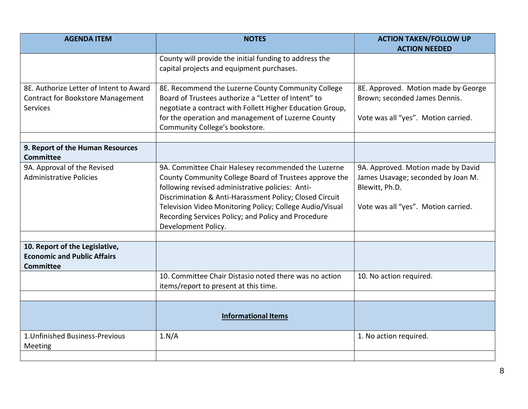| <b>AGENDA ITEM</b>                                                                                     | <b>NOTES</b>                                                                                                                                                                                                                                                                                                                                                           | <b>ACTION TAKEN/FOLLOW UP</b><br><b>ACTION NEEDED</b>                                                                             |
|--------------------------------------------------------------------------------------------------------|------------------------------------------------------------------------------------------------------------------------------------------------------------------------------------------------------------------------------------------------------------------------------------------------------------------------------------------------------------------------|-----------------------------------------------------------------------------------------------------------------------------------|
|                                                                                                        | County will provide the initial funding to address the<br>capital projects and equipment purchases.                                                                                                                                                                                                                                                                    |                                                                                                                                   |
| 8E. Authorize Letter of Intent to Award<br><b>Contract for Bookstore Management</b><br><b>Services</b> | 8E. Recommend the Luzerne County Community College<br>Board of Trustees authorize a "Letter of Intent" to<br>negotiate a contract with Follett Higher Education Group,<br>for the operation and management of Luzerne County<br>Community College's bookstore.                                                                                                         | 8E. Approved. Motion made by George<br>Brown; seconded James Dennis.<br>Vote was all "yes". Motion carried.                       |
| 9. Report of the Human Resources<br><b>Committee</b>                                                   |                                                                                                                                                                                                                                                                                                                                                                        |                                                                                                                                   |
| 9A. Approval of the Revised<br><b>Administrative Policies</b>                                          | 9A. Committee Chair Halesey recommended the Luzerne<br>County Community College Board of Trustees approve the<br>following revised administrative policies: Anti-<br>Discrimination & Anti-Harassment Policy; Closed Circuit<br>Television Video Monitoring Policy; College Audio/Visual<br>Recording Services Policy; and Policy and Procedure<br>Development Policy. | 9A. Approved. Motion made by David<br>James Usavage; seconded by Joan M.<br>Blewitt, Ph.D.<br>Vote was all "yes". Motion carried. |
| 10. Report of the Legislative,<br><b>Economic and Public Affairs</b><br><b>Committee</b>               |                                                                                                                                                                                                                                                                                                                                                                        |                                                                                                                                   |
|                                                                                                        | 10. Committee Chair Distasio noted there was no action<br>items/report to present at this time.                                                                                                                                                                                                                                                                        | 10. No action required.                                                                                                           |
|                                                                                                        | <b>Informational Items</b>                                                                                                                                                                                                                                                                                                                                             |                                                                                                                                   |
| 1. Unfinished Business-Previous<br>Meeting                                                             | 1.N/A                                                                                                                                                                                                                                                                                                                                                                  | 1. No action required.                                                                                                            |